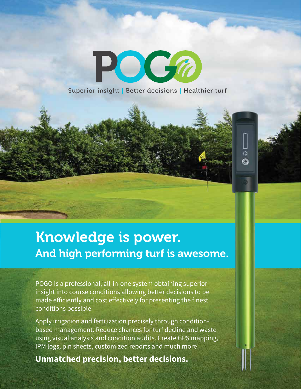Superior insight | Better decisions | Healthier turf

 $\overline{\Omega}$ Ó

POGA

## Knowledge is power. And high performing turf is awesome.

POGO is a professional, all-in-one system obtaining superior insight into course conditions allowing better decisions to be made efficiently and cost effectively for presenting the finest conditions possible.

Apply irrigation and fertilization precisely through conditionbased management. Reduce chances for turf decline and waste using visual analysis and condition audits. Create GPS mapping, IPM logs, pin sheets, customized reports and much more!

**Unmatched precision, better decisions.**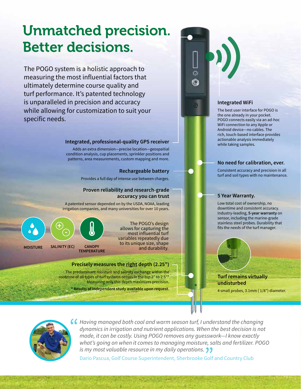## Unmatched precision. Better decisions.

The POGO system is a holistic approach to measuring the most influential factors that ultimately determine course quality and turf performance. It's patented technology is unparalleled in precision and accuracy while allowing for customization to suit your specific needs.

### **Integrated, professional-quality GPS receiver**

Adds an extra dimension—precise location—geospaitial condition analysis, cup placements, sprinkler positions and patterns, area measurements, custom mapping and more.

#### **Rechargeable battery**

Provides a full day of intense use between charges.

### **Proven reliability and research-grade accuracy you can trust**

A patented sensor depended on by the USDA, NOAA, leading irrigation companies, and many universities for over 10 years.

**MOISTURE SALINITY (EC) CANOPY TEMPERATURE + -**

The POGO's design allows for capturing the most influential turf variables repeatedly due to its unique size, shape and durability.

#### **Precisely measures the right depth (2.25")**

The predominant moisture and salinity exchange within the rootzone of all types of turf systems occurs in the top 2" to 2.5"\* Measuring only this depth maximizes precision.

**\* Results of independent study available upon request.**

### **Integrated WiFi**

The best user interface for POGO is the one already in your pocket. POGO connects easily via an ad-hoc WiFi connection to any Apple or Android device—no cables. The rich, touch-based interface provides actionable analysis immediately while taking samples.

#### **No need for calibration, ever.**

Consistent accuracy and precision in all turf and soil types with no maintenance.

#### **5 Year Warranty.**

Low total cost of ownership, no downtime and consistent accuracy. Industry-leading, **5-year warranty** on sensor, including the marine-grade stainless steel probes. Durability that fits the needs of the turf manager.

### **Turf remains virtually undisturbed**

4 small probes, 3.1mm ( 1/8") diameter.



*Having managed both cool and warm season turf, I understand the changing dynamics in irrigation and nutrient applications. When the best decision is not made, it can be costly. Using POGO removes any guesswork—I know exactly what's going on when it comes to managing moisture, salts and fertilizer. POGO is my most valuable resource in my daily operations.*

Dario Pascua, Golf Course Superintendent, Sherbrooke Golf and Country Club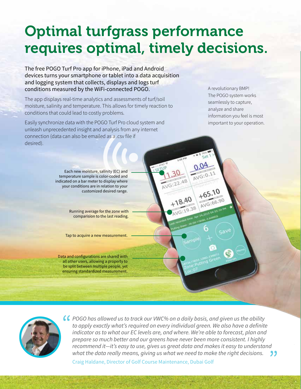# Optimal turfgrass performance requires optimal, timely decisions.

The free POGO Turf Pro app for iPhone, iPad and Android devices turns your smartphone or tablet into a data acquisition and logging system that collects, displays and logs turf conditions measured by the WiFi-connected POGO.

The app displays real-time analytics and assessments of turf/soil moisture, salinity and temperature. This allows for timely reaction to conditions that could lead to costly problems.

Easily synchronize data with the POGO Turf Pro cloud system and unleash unprecedented insight and analysis from any internet connection (data can also be emailed as a .csv file if desired).

A revolutionary BMP! The POGO system works seamlessly to capture, analyze and share information you feel is most important to your operation.

Each new moisture, salinity (EC) and temperature sample is color-coded and indicated on a bar meter to display where your conditions are in relation to your customized desired range.

> Running average for the zone with comparision to the last reading.

Tap to acquire a new measurement.

Data and configurations are shared with all other users, allowing a property to be split between multiple people, yet ensuring standardized measurement.



*POGO has allowed us to track our VWC% on a daily basis, and given us the ability to apply exactly what's required on every individual green. We also have a definite indicator as to what our EC levels are, and where. We're able to forecast, plan and prepare so much better and our greens have never been more consistent. I highly recommend it—it's easy to use, gives us great data and makes it easy to understand what the data really means, giving us what we need to make the right decisions.* "

Craig Haldane, Director of Golf Course Maintenance, Dubai Golf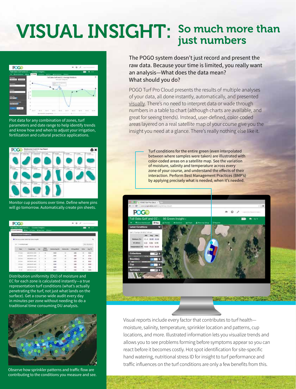### VISUAL INSIGHT: So much more than just numbers



Plot data for any combination of zones, turf parameters and date range to help identify trends and know how and when to adjust your irrigation, fertilization and cultural practice applications.



Monitor cup positions over time. Define where pins will go tomorrow. Automatically create pin sheets.

| POG <sub>0</sub>                 |                                                                             |  |  |      |  |                 | $A$ $B$ $A$ |             |  |
|----------------------------------|-----------------------------------------------------------------------------|--|--|------|--|-----------------|-------------|-------------|--|
|                                  | Tell Oaks Coll and CC+ Course Insight +<br>Chattheway the plan Chance Diese |  |  |      |  |                 |             | 2.51        |  |
| <b>Servert Fourier Columns a</b> |                                                                             |  |  |      |  |                 |             |             |  |
|                                  | O Classicket is notice vouried from Science Instead &                       |  |  |      |  |                 |             |             |  |
| of 1 members page                |                                                                             |  |  |      |  |                 |             |             |  |
|                                  |                                                                             |  |  |      |  | <b>Security</b> |             |             |  |
|                                  | 2012年21日                                                                    |  |  |      |  | 14.61           |             |             |  |
|                                  | <b><i><u>REAL POINT</u></i></b>                                             |  |  | n se |  | <b>AB</b>       |             | e i         |  |
| m                                | 303 06-81 - 12 US                                                           |  |  |      |  | <b>Kale</b>     |             | ai ai       |  |
| <b>Stationary</b>                | <b>Middle Road</b>                                                          |  |  |      |  | 16.69           |             | <b>Mind</b> |  |
| <b>COLLECTION</b>                | 2010 ED 2010                                                                |  |  | ÷    |  | <b>DAY</b>      |             |             |  |
|                                  |                                                                             |  |  |      |  |                 |             |             |  |
| <b>Bill County</b>               | <b><i>CARL AND ART CARL CARD</i></b>                                        |  |  |      |  | 16.63           |             |             |  |

Distribution uniformity (DU) of moisture and EC for each zone is calculated instantly—a true representation turf conditions (what's actually penetrating the turf, not just what lands on the surface). Get a course-wide audit every day in minutes per zone without needing to do a traditional time consuming DU analysis.



Observe how sprinkler patterns and traffic flow are contributing to the conditions you measure and see. The POGO system doesn't just record and present the raw data. Because your time is limited, you really want an analysis—What does the data mean? What should you do?

POGO Turf Pro Cloud presents the results of multiple analyses of your data, all done instantly, automatically, and presented visually. There's no need to interpret data or wade through numbers in a table to chart (although charts are available, and great for seeing trends). Instead, user-defined, color-coded areas layered on a real satellite map of your course give you the insight you need at a glance. There's really nothing else like it.

> Turf conditions for the entire green (even interpolated between where samples were taken) are illustrated with color-coded areas on a satellite map. See the variation of moisture, salinity and temperature across every zone of your course, and understand the effects of their interaction. Perform Best Management Practices (BMP's) by applying precisely what is needed, when it's needed.



Visual reports include every factor that contributes to turf health moisture, salinity, temperature, sprinkler location and patterns, cup locations, and more. Illustrated information lets you visualize trends and allows you to see problems forming before symptoms appear so you can react before it becomes costly. Hot spot identification for site-specific hand watering, nutritional stress ID for insight to turf performance and traffic influences on the turf conditions are only a few benefits from this.

**County of the County of the American**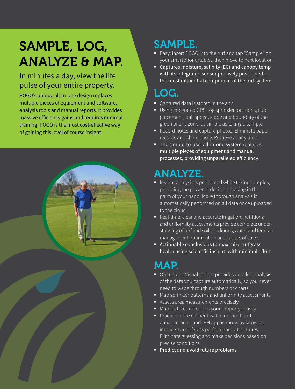# SAMPLE, LOG, ANALYZE & MAP.

### In minutes a day, view the life pulse of your entire property.

POGO's unique all-in-one design replaces multiple pieces of equipment and software, analysis tools and manual reports. It provides massive efficiency gains and requires minimal training. POGO is the most cost-effective way of gaining this level of course insight.



## SAMPLE.

- **Easy: insert POGO** into the turf and tap "Sample" on your smartphone/tablet, then move to next location
- Captures moisture, salinity (EC) and canopy temp with its integrated sensor precisely positioned in the most influential component of the turf system

## LOG.

- Captured data is stored in the app.
- Using integrated GPS, log sprinkler locations, cup placement, ball speed, slope and boundary of the green or any zone, as simple as taking a sample
- Record notes and capture photos. Eliminate paper records and share easily. Retrieve at any time
- The simple-to-use, all-in-one system replaces multiple pieces of equipment and manual processes, providing unparalleled efficiency

## ANALYZE.

- $\blacksquare$  Instant analysis is performed while taking samples, providing the power of decision making in the palm of your hand. More thorough analysis is automatically performed on all data once uploaded to the cloud
- Real-time, clear and accurate irrigation, nutritional and uniformity assessments provide complete understanding of turf and soil conditions, water and fertilizer management optimization and causes of stress
- Actionable conclusions to maximize turfgrass health using scientific insight, with minimal effort

## MAP.

- Our unique Visual Insight provides detailed analysis of the data you capture automatically, so you never need to wade through numbers or charts
- Map sprinkler patterns and uniformity assessments
- Assess area measurements precisely
- Map features unique to your property...easily
- Practice more efficient water, nutrient, turf enhancement, and IPM applications by knowing impacts on turfgrass performance at all times. Eliminate guessing and make decisions based on precise conditions
- Predict and avoid future problems